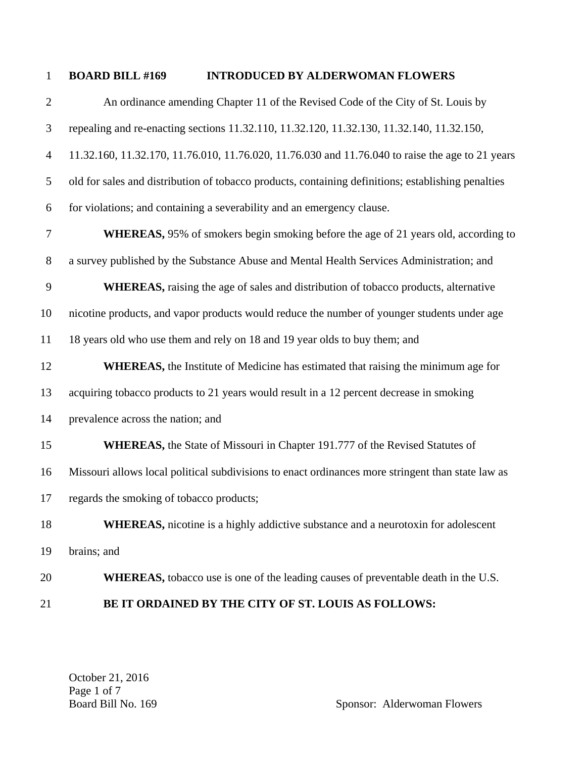## 1 **BOARD BILL #169 INTRODUCED BY ALDERWOMAN FLOWERS**

2 An ordinance amending Chapter 11 of the Revised Code of the City of St. Louis by 3 repealing and re-enacting sections 11.32.110, 11.32.120, 11.32.130, 11.32.140, 11.32.150, 4 11.32.160, 11.32.170, 11.76.010, 11.76.020, 11.76.030 and 11.76.040 to raise the age to 21 years 5 old for sales and distribution of tobacco products, containing definitions; establishing penalties 6 for violations; and containing a severability and an emergency clause. 7 **WHEREAS,** 95% of smokers begin smoking before the age of 21 years old, according to 8 a survey published by the Substance Abuse and Mental Health Services Administration; and 9 **WHEREAS,** raising the age of sales and distribution of tobacco products, alternative 10 nicotine products, and vapor products would reduce the number of younger students under age 11 18 years old who use them and rely on 18 and 19 year olds to buy them; and 12 **WHEREAS,** the Institute of Medicine has estimated that raising the minimum age for 13 acquiring tobacco products to 21 years would result in a 12 percent decrease in smoking 14 prevalence across the nation; and 15 **WHEREAS**, the State of Missouri in Chapter 191.777 of the Revised Statutes of 16 Missouri allows local political subdivisions to enact ordinances more stringent than state law as 17 regards the smoking of tobacco products; 18 **WHEREAS**, nicotine is a highly addictive substance and a neurotoxin for adolescent 19 brains; and 20 **WHEREAS**, tobacco use is one of the leading causes of preventable death in the U.S.

21 **BE IT ORDAINED BY THE CITY OF ST. LOUIS AS FOLLOWS:** 

October 21, 2016 Page 1 of 7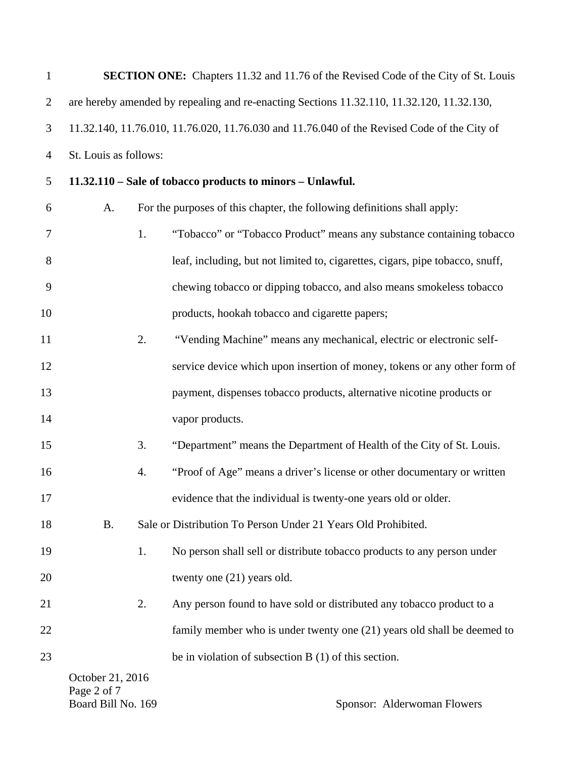| $\mathbf{1}$   |                                                                                             |    | <b>SECTION ONE:</b> Chapters 11.32 and 11.76 of the Revised Code of the City of St. Louis |  |  |  |
|----------------|---------------------------------------------------------------------------------------------|----|-------------------------------------------------------------------------------------------|--|--|--|
| $\overline{2}$ |                                                                                             |    | are hereby amended by repealing and re-enacting Sections 11.32.110, 11.32.120, 11.32.130, |  |  |  |
| 3              | 11.32.140, 11.76.010, 11.76.020, 11.76.030 and 11.76.040 of the Revised Code of the City of |    |                                                                                           |  |  |  |
| $\overline{4}$ | St. Louis as follows:                                                                       |    |                                                                                           |  |  |  |
| 5              |                                                                                             |    | 11.32.110 – Sale of tobacco products to minors – Unlawful.                                |  |  |  |
| 6              | A.                                                                                          |    | For the purposes of this chapter, the following definitions shall apply:                  |  |  |  |
| 7              |                                                                                             | 1. | "Tobacco" or "Tobacco Product" means any substance containing tobacco                     |  |  |  |
| 8              |                                                                                             |    | leaf, including, but not limited to, cigarettes, cigars, pipe tobacco, snuff,             |  |  |  |
| 9              |                                                                                             |    | chewing tobacco or dipping tobacco, and also means smokeless tobacco                      |  |  |  |
| 10             |                                                                                             |    | products, hookah tobacco and cigarette papers;                                            |  |  |  |
| 11             |                                                                                             | 2. | "Vending Machine" means any mechanical, electric or electronic self-                      |  |  |  |
| 12             |                                                                                             |    | service device which upon insertion of money, tokens or any other form of                 |  |  |  |
| 13             |                                                                                             |    | payment, dispenses tobacco products, alternative nicotine products or                     |  |  |  |
| 14             |                                                                                             |    | vapor products.                                                                           |  |  |  |
| 15             |                                                                                             | 3. | "Department" means the Department of Health of the City of St. Louis.                     |  |  |  |
| 16             |                                                                                             | 4. | "Proof of Age" means a driver's license or other documentary or written                   |  |  |  |
| 17             |                                                                                             |    | evidence that the individual is twenty-one years old or older.                            |  |  |  |
| 18             | <b>B.</b>                                                                                   |    | Sale or Distribution To Person Under 21 Years Old Prohibited.                             |  |  |  |
| 19             |                                                                                             | 1. | No person shall sell or distribute tobacco products to any person under                   |  |  |  |
| 20             |                                                                                             |    | twenty one (21) years old.                                                                |  |  |  |
| 21             |                                                                                             | 2. | Any person found to have sold or distributed any tobacco product to a                     |  |  |  |
| 22             |                                                                                             |    | family member who is under twenty one (21) years old shall be deemed to                   |  |  |  |
| 23             |                                                                                             |    | be in violation of subsection $B(1)$ of this section.                                     |  |  |  |
|                | October 21, 2016<br>Page 2 of 7                                                             |    |                                                                                           |  |  |  |

Board Bill No. 169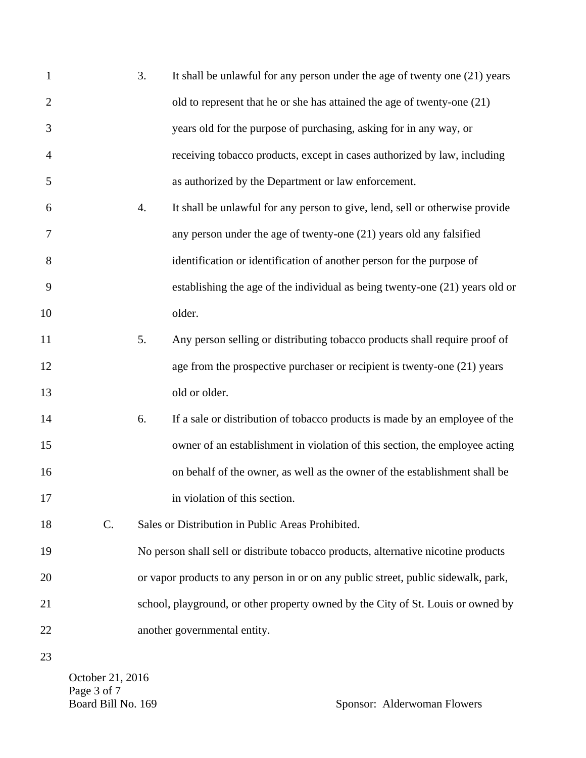| $\mathbf{1}$   |    | 3. | It shall be unlawful for any person under the age of twenty one (21) years         |
|----------------|----|----|------------------------------------------------------------------------------------|
| $\overline{2}$ |    |    | old to represent that he or she has attained the age of twenty-one $(21)$          |
| 3              |    |    | years old for the purpose of purchasing, asking for in any way, or                 |
| 4              |    |    | receiving tobacco products, except in cases authorized by law, including           |
| 5              |    |    | as authorized by the Department or law enforcement.                                |
| 6              |    | 4. | It shall be unlawful for any person to give, lend, sell or otherwise provide       |
| 7              |    |    | any person under the age of twenty-one (21) years old any falsified                |
| 8              |    |    | identification or identification of another person for the purpose of              |
| 9              |    |    | establishing the age of the individual as being twenty-one (21) years old or       |
| 10             |    |    | older.                                                                             |
| 11             |    | 5. | Any person selling or distributing tobacco products shall require proof of         |
| 12             |    |    | age from the prospective purchaser or recipient is twenty-one (21) years           |
| 13             |    |    | old or older.                                                                      |
| 14             |    | 6. | If a sale or distribution of tobacco products is made by an employee of the        |
| 15             |    |    | owner of an establishment in violation of this section, the employee acting        |
| 16             |    |    | on behalf of the owner, as well as the owner of the establishment shall be         |
| 17             |    |    | in violation of this section.                                                      |
| 18             | C. |    | Sales or Distribution in Public Areas Prohibited.                                  |
| 19             |    |    | No person shall sell or distribute tobacco products, alternative nicotine products |
| 20             |    |    | or vapor products to any person in or on any public street, public sidewalk, park, |
| 21             |    |    | school, playground, or other property owned by the City of St. Louis or owned by   |
| 22             |    |    | another governmental entity.                                                       |
| 23             |    |    |                                                                                    |

October 21, 2016 Page 3 of 7<br>Board Bill No. 169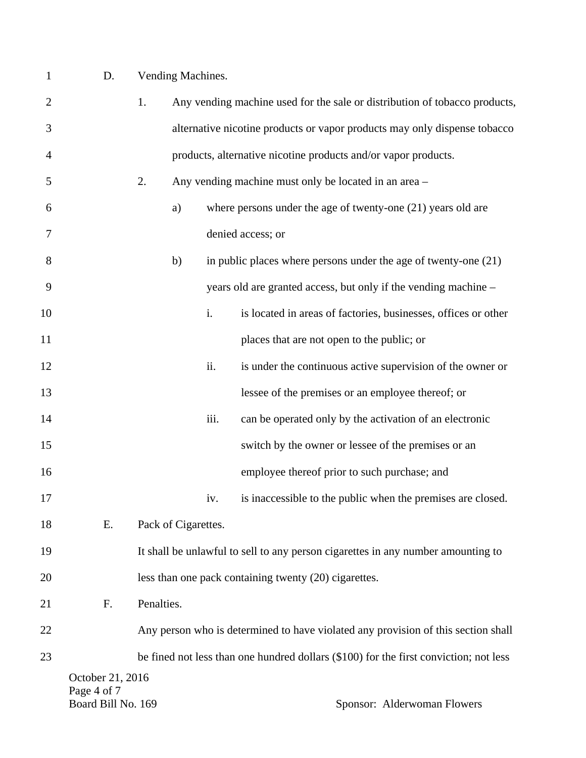| D. | Vending Machines. |
|----|-------------------|
|    |                   |

| $\overline{2}$ |                    | 1.         |                     |      | Any vending machine used for the sale or distribution of tobacco products,            |
|----------------|--------------------|------------|---------------------|------|---------------------------------------------------------------------------------------|
| 3              |                    |            |                     |      | alternative nicotine products or vapor products may only dispense tobacco             |
| 4              |                    |            |                     |      | products, alternative nicotine products and/or vapor products.                        |
| 5              |                    | 2.         |                     |      | Any vending machine must only be located in an area -                                 |
| 6              |                    |            | a)                  |      | where persons under the age of twenty-one $(21)$ years old are                        |
| 7              |                    |            |                     |      | denied access; or                                                                     |
| 8              |                    |            | b)                  |      | in public places where persons under the age of twenty-one $(21)$                     |
| 9              |                    |            |                     |      | years old are granted access, but only if the vending machine –                       |
| 10             |                    |            |                     | i.   | is located in areas of factories, businesses, offices or other                        |
| 11             |                    |            |                     |      | places that are not open to the public; or                                            |
| 12             |                    |            |                     | ii.  | is under the continuous active supervision of the owner or                            |
| 13             |                    |            |                     |      | lessee of the premises or an employee thereof; or                                     |
| 14             |                    |            |                     | iii. | can be operated only by the activation of an electronic                               |
| 15             |                    |            |                     |      | switch by the owner or lessee of the premises or an                                   |
| 16             |                    |            |                     |      | employee thereof prior to such purchase; and                                          |
| 17             |                    |            |                     | iv.  | is inaccessible to the public when the premises are closed.                           |
| 18             | Е.                 |            | Pack of Cigarettes. |      |                                                                                       |
| 19             |                    |            |                     |      | It shall be unlawful to sell to any person cigarettes in any number amounting to      |
| 20             |                    |            |                     |      | less than one pack containing twenty (20) cigarettes.                                 |
| 21             | F.                 | Penalties. |                     |      |                                                                                       |
| 22             |                    |            |                     |      | Any person who is determined to have violated any provision of this section shall     |
| 23             |                    |            |                     |      | be fined not less than one hundred dollars (\$100) for the first conviction; not less |
|                | October 21, 2016   |            |                     |      |                                                                                       |
|                | Page 4 of 7        |            |                     |      |                                                                                       |
|                | Board Bill No. 169 |            |                     |      | Sponsor: Alderwoman Flowers                                                           |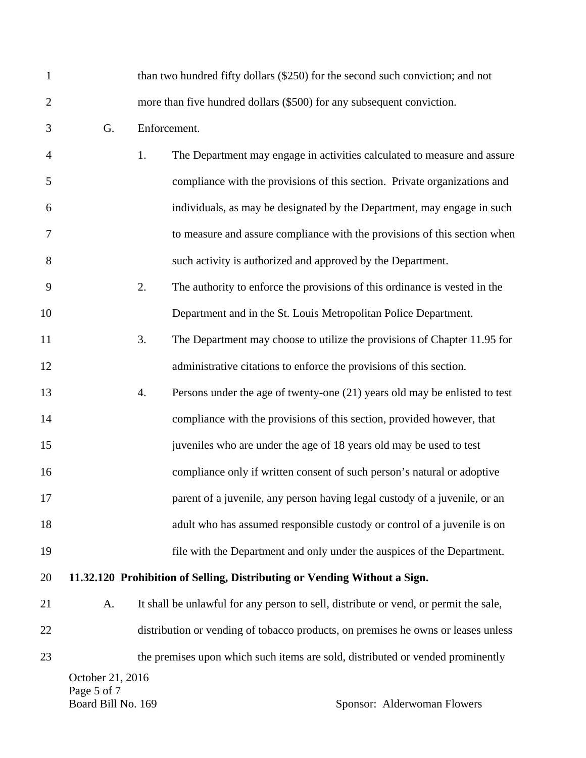| 1              |                                                       |              | than two hundred fifty dollars (\$250) for the second such conviction; and not       |  |  |  |
|----------------|-------------------------------------------------------|--------------|--------------------------------------------------------------------------------------|--|--|--|
| $\overline{2}$ |                                                       |              | more than five hundred dollars (\$500) for any subsequent conviction.                |  |  |  |
| 3              | G.                                                    | Enforcement. |                                                                                      |  |  |  |
| $\overline{4}$ |                                                       | 1.           | The Department may engage in activities calculated to measure and assure             |  |  |  |
| 5              |                                                       |              | compliance with the provisions of this section. Private organizations and            |  |  |  |
| 6              |                                                       |              | individuals, as may be designated by the Department, may engage in such              |  |  |  |
| $\overline{7}$ |                                                       |              | to measure and assure compliance with the provisions of this section when            |  |  |  |
| 8              |                                                       |              | such activity is authorized and approved by the Department.                          |  |  |  |
| 9              |                                                       | 2.           | The authority to enforce the provisions of this ordinance is vested in the           |  |  |  |
| 10             |                                                       |              | Department and in the St. Louis Metropolitan Police Department.                      |  |  |  |
| 11             |                                                       | 3.           | The Department may choose to utilize the provisions of Chapter 11.95 for             |  |  |  |
| 12             |                                                       |              | administrative citations to enforce the provisions of this section.                  |  |  |  |
| 13             |                                                       | 4.           | Persons under the age of twenty-one (21) years old may be enlisted to test           |  |  |  |
| 14             |                                                       |              | compliance with the provisions of this section, provided however, that               |  |  |  |
| 15             |                                                       |              | juveniles who are under the age of 18 years old may be used to test                  |  |  |  |
| 16             |                                                       |              | compliance only if written consent of such person's natural or adoptive              |  |  |  |
| 17             |                                                       |              | parent of a juvenile, any person having legal custody of a juvenile, or an           |  |  |  |
| 18             |                                                       |              | adult who has assumed responsible custody or control of a juvenile is on             |  |  |  |
| 19             |                                                       |              | file with the Department and only under the auspices of the Department.              |  |  |  |
| 20             |                                                       |              | 11.32.120 Prohibition of Selling, Distributing or Vending Without a Sign.            |  |  |  |
| 21             | A.                                                    |              | It shall be unlawful for any person to sell, distribute or vend, or permit the sale, |  |  |  |
| 22             |                                                       |              | distribution or vending of tobacco products, on premises he owns or leases unless    |  |  |  |
| 23             |                                                       |              | the premises upon which such items are sold, distributed or vended prominently       |  |  |  |
|                | October 21, 2016<br>Page 5 of 7<br>Board Bill No. 169 |              | Sponsor: Alderwoman Flowers                                                          |  |  |  |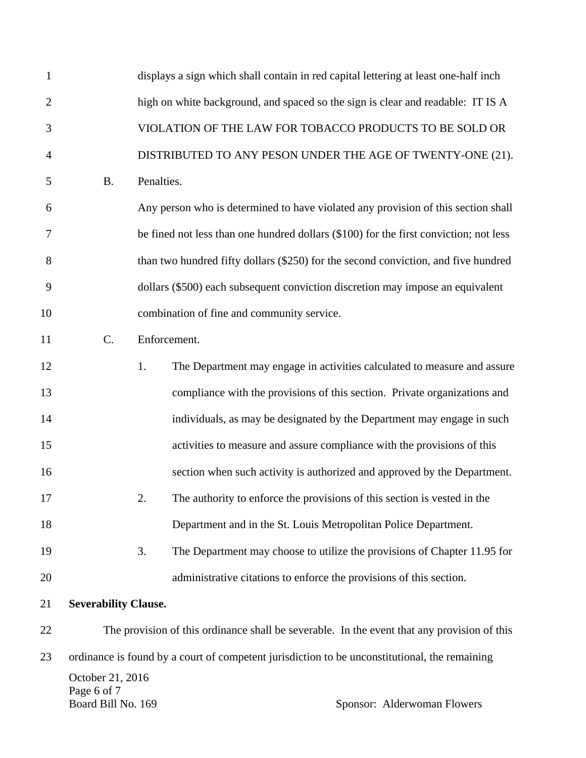| $\mathbf{1}$   |                                                       |            | displays a sign which shall contain in red capital lettering at least one-half inch           |
|----------------|-------------------------------------------------------|------------|-----------------------------------------------------------------------------------------------|
| $\overline{2}$ |                                                       |            | high on white background, and spaced so the sign is clear and readable: IT IS A               |
| 3              |                                                       |            | VIOLATION OF THE LAW FOR TOBACCO PRODUCTS TO BE SOLD OR                                       |
| $\overline{4}$ |                                                       |            | DISTRIBUTED TO ANY PESON UNDER THE AGE OF TWENTY-ONE (21).                                    |
| 5              | <b>B.</b>                                             | Penalties. |                                                                                               |
| 6              |                                                       |            | Any person who is determined to have violated any provision of this section shall             |
| $\tau$         |                                                       |            | be fined not less than one hundred dollars (\$100) for the first conviction; not less         |
| 8              |                                                       |            | than two hundred fifty dollars (\$250) for the second conviction, and five hundred            |
| 9              |                                                       |            | dollars (\$500) each subsequent conviction discretion may impose an equivalent                |
| 10             |                                                       |            | combination of fine and community service.                                                    |
| 11             | C.                                                    |            | Enforcement.                                                                                  |
| 12             |                                                       | 1.         | The Department may engage in activities calculated to measure and assure                      |
| 13             |                                                       |            | compliance with the provisions of this section. Private organizations and                     |
| 14             |                                                       |            | individuals, as may be designated by the Department may engage in such                        |
| 15             |                                                       |            | activities to measure and assure compliance with the provisions of this                       |
| 16             |                                                       |            | section when such activity is authorized and approved by the Department.                      |
| 17             |                                                       | 2.         | The authority to enforce the provisions of this section is vested in the                      |
| 18             |                                                       |            | Department and in the St. Louis Metropolitan Police Department.                               |
| 19             |                                                       | 3.         | The Department may choose to utilize the provisions of Chapter 11.95 for                      |
| 20             |                                                       |            | administrative citations to enforce the provisions of this section.                           |
| 21             | <b>Severability Clause.</b>                           |            |                                                                                               |
| 22             |                                                       |            | The provision of this ordinance shall be severable. In the event that any provision of this   |
| 23             |                                                       |            | ordinance is found by a court of competent jurisdiction to be unconstitutional, the remaining |
|                | October 21, 2016<br>Page 6 of 7<br>Board Bill No. 169 |            | Sponsor: Alderwoman Flowers                                                                   |